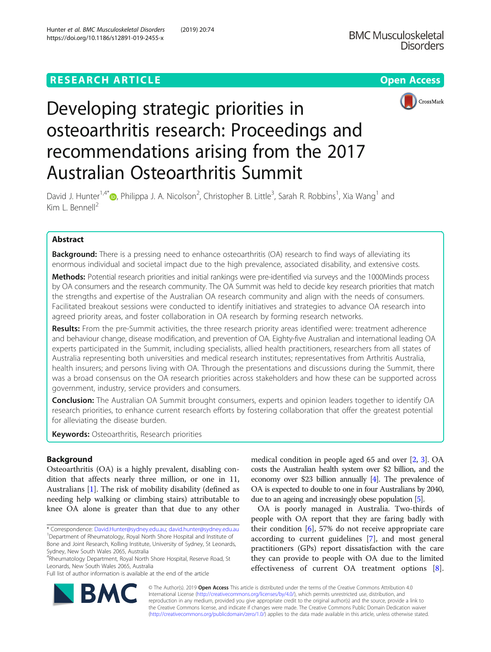# **RESEARCH ARTICLE Example 2018 12:30 THE Open Access**



# Developing strategic priorities in osteoarthritis research: Proceedings and recommendations arising from the 2017 Australian Osteoarthritis Summit

David J. Hunter<sup>1[,](http://orcid.org/0000-0003-3197-752X)4\*</sup> (@, Philippa J. A. Nicolson<sup>2</sup>, Christopher B. Little<sup>3</sup>, Sarah R. Robbins<sup>1</sup>, Xia Wang<sup>1</sup> and Kim L. Bennell $^2$ 

# Abstract

**Background:** There is a pressing need to enhance osteoarthritis (OA) research to find ways of alleviating its enormous individual and societal impact due to the high prevalence, associated disability, and extensive costs.

Methods: Potential research priorities and initial rankings were pre-identified via surveys and the 1000Minds process by OA consumers and the research community. The OA Summit was held to decide key research priorities that match the strengths and expertise of the Australian OA research community and align with the needs of consumers. Facilitated breakout sessions were conducted to identify initiatives and strategies to advance OA research into agreed priority areas, and foster collaboration in OA research by forming research networks.

Results: From the pre-Summit activities, the three research priority areas identified were: treatment adherence and behaviour change, disease modification, and prevention of OA. Eighty-five Australian and international leading OA experts participated in the Summit, including specialists, allied health practitioners, researchers from all states of Australia representing both universities and medical research institutes; representatives from Arthritis Australia, health insurers; and persons living with OA. Through the presentations and discussions during the Summit, there was a broad consensus on the OA research priorities across stakeholders and how these can be supported across government, industry, service providers and consumers.

Conclusion: The Australian OA Summit brought consumers, experts and opinion leaders together to identify OA research priorities, to enhance current research efforts by fostering collaboration that offer the greatest potential for alleviating the disease burden.

Keywords: Osteoarthritis, Research priorities

# Background

Osteoarthritis (OA) is a highly prevalent, disabling condition that affects nearly three million, or one in 11, Australians [[1\]](#page-8-0). The risk of mobility disability (defined as needing help walking or climbing stairs) attributable to knee OA alone is greater than that due to any other

Sydney, New South Wales 2065, Australia <sup>4</sup>Rheumatology Department, Royal North Shore Hospital, Reserve Road, St Leonards, New South Wales 2065, Australia

Full list of author information is available at the end of the article

medical condition in people aged 65 and over [\[2](#page-8-0), [3](#page-8-0)]. OA costs the Australian health system over \$2 billion, and the economy over \$23 billion annually [\[4\]](#page-8-0). The prevalence of OA is expected to double to one in four Australians by 2040, due to an ageing and increasingly obese population [\[5](#page-8-0)].

OA is poorly managed in Australia. Two-thirds of people with OA report that they are faring badly with their condition  $[6]$  $[6]$ , 57% do not receive appropriate care according to current guidelines [[7\]](#page-8-0), and most general practitioners (GPs) report dissatisfaction with the care they can provide to people with OA due to the limited effectiveness of current OA treatment options [\[8](#page-8-0)].



© The Author(s). 2019 **Open Access** This article is distributed under the terms of the Creative Commons Attribution 4.0 International License [\(http://creativecommons.org/licenses/by/4.0/](http://creativecommons.org/licenses/by/4.0/)), which permits unrestricted use, distribution, and reproduction in any medium, provided you give appropriate credit to the original author(s) and the source, provide a link to the Creative Commons license, and indicate if changes were made. The Creative Commons Public Domain Dedication waiver [\(http://creativecommons.org/publicdomain/zero/1.0/](http://creativecommons.org/publicdomain/zero/1.0/)) applies to the data made available in this article, unless otherwise stated.

<sup>\*</sup> Correspondence: [David.Hunter@sydney.edu.au](mailto:David.Hunter@sydney.edu.au); [david.hunter@sydney.edu.au](mailto:david.hunter@sydney.edu.au) <sup>1</sup> <sup>1</sup>Department of Rheumatology, Royal North Shore Hospital and Institute of Bone and Joint Research, Kolling Institute, University of Sydney, St Leonards,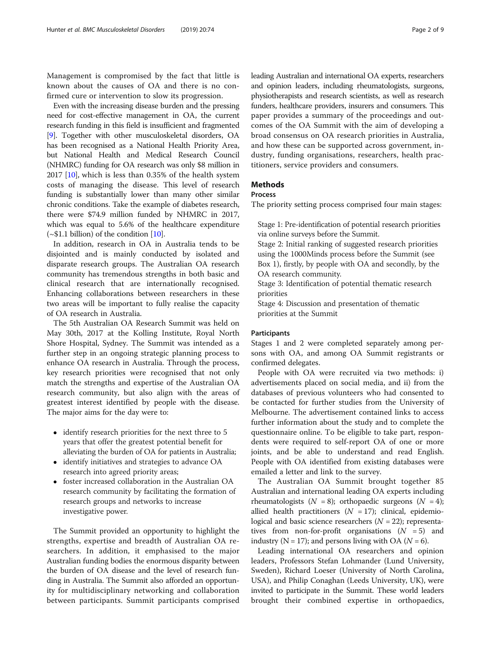Management is compromised by the fact that little is known about the causes of OA and there is no confirmed cure or intervention to slow its progression.

Even with the increasing disease burden and the pressing need for cost-effective management in OA, the current research funding in this field is insufficient and fragmented [[9](#page-8-0)]. Together with other musculoskeletal disorders, OA has been recognised as a National Health Priority Area, but National Health and Medical Research Council (NHMRC) funding for OA research was only \$8 million in 2017 [[10](#page-8-0)], which is less than 0.35% of the health system costs of managing the disease. This level of research funding is substantially lower than many other similar chronic conditions. Take the example of diabetes research, there were \$74.9 million funded by NHMRC in 2017, which was equal to 5.6% of the healthcare expenditure  $(\sim $1.1$  billion) of the condition [[10](#page-8-0)].

In addition, research in OA in Australia tends to be disjointed and is mainly conducted by isolated and disparate research groups. The Australian OA research community has tremendous strengths in both basic and clinical research that are internationally recognised. Enhancing collaborations between researchers in these two areas will be important to fully realise the capacity of OA research in Australia.

The 5th Australian OA Research Summit was held on May 30th, 2017 at the Kolling Institute, Royal North Shore Hospital, Sydney. The Summit was intended as a further step in an ongoing strategic planning process to enhance OA research in Australia. Through the process, key research priorities were recognised that not only match the strengths and expertise of the Australian OA research community, but also align with the areas of greatest interest identified by people with the disease. The major aims for the day were to:

- identify research priorities for the next three to 5 years that offer the greatest potential benefit for alleviating the burden of OA for patients in Australia;
- identify initiatives and strategies to advance OA research into agreed priority areas;
- foster increased collaboration in the Australian OA research community by facilitating the formation of research groups and networks to increase investigative power.

The Summit provided an opportunity to highlight the strengths, expertise and breadth of Australian OA researchers. In addition, it emphasised to the major Australian funding bodies the enormous disparity between the burden of OA disease and the level of research funding in Australia. The Summit also afforded an opportunity for multidisciplinary networking and collaboration between participants. Summit participants comprised leading Australian and international OA experts, researchers and opinion leaders, including rheumatologists, surgeons, physiotherapists and research scientists, as well as research funders, healthcare providers, insurers and consumers. This paper provides a summary of the proceedings and outcomes of the OA Summit with the aim of developing a broad consensus on OA research priorities in Australia, and how these can be supported across government, industry, funding organisations, researchers, health practitioners, service providers and consumers.

# Methods

## **Process**

The priority setting process comprised four main stages:

Stage 1: Pre-identification of potential research priorities via online surveys before the Summit.

Stage 2: Initial ranking of suggested research priorities using the 1000Minds process before the Summit (see Box 1), firstly, by people with OA and secondly, by the OA research community.

Stage 3: Identification of potential thematic research priorities

Stage 4: Discussion and presentation of thematic priorities at the Summit

## Participants

Stages 1 and 2 were completed separately among persons with OA, and among OA Summit registrants or confirmed delegates.

People with OA were recruited via two methods: i) advertisements placed on social media, and ii) from the databases of previous volunteers who had consented to be contacted for further studies from the University of Melbourne. The advertisement contained links to access further information about the study and to complete the questionnaire online. To be eligible to take part, respondents were required to self-report OA of one or more joints, and be able to understand and read English. People with OA identified from existing databases were emailed a letter and link to the survey.

The Australian OA Summit brought together 85 Australian and international leading OA experts including rheumatologists  $(N = 8)$ ; orthopaedic surgeons  $(N = 4)$ ; allied health practitioners ( $N = 17$ ); clinical, epidemiological and basic science researchers ( $N = 22$ ); representatives from non-for-profit organisations  $(N = 5)$  and industry ( $N = 17$ ); and persons living with OA ( $N = 6$ ).

Leading international OA researchers and opinion leaders, Professors Stefan Lohmander (Lund University, Sweden), Richard Loeser (University of North Carolina, USA), and Philip Conaghan (Leeds University, UK), were invited to participate in the Summit. These world leaders brought their combined expertise in orthopaedics,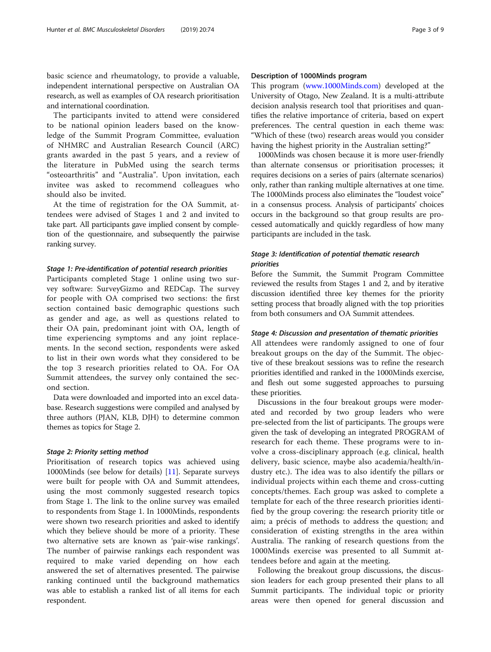basic science and rheumatology, to provide a valuable, independent international perspective on Australian OA research, as well as examples of OA research prioritisation and international coordination.

The participants invited to attend were considered to be national opinion leaders based on the knowledge of the Summit Program Committee, evaluation of NHMRC and Australian Research Council (ARC) grants awarded in the past 5 years, and a review of the literature in PubMed using the search terms "osteoarthritis" and "Australia". Upon invitation, each invitee was asked to recommend colleagues who should also be invited.

At the time of registration for the OA Summit, attendees were advised of Stages 1 and 2 and invited to take part. All participants gave implied consent by completion of the questionnaire, and subsequently the pairwise ranking survey.

## Stage 1: Pre-identification of potential research priorities

Participants completed Stage 1 online using two survey software: SurveyGizmo and REDCap. The survey for people with OA comprised two sections: the first section contained basic demographic questions such as gender and age, as well as questions related to their OA pain, predominant joint with OA, length of time experiencing symptoms and any joint replacements. In the second section, respondents were asked to list in their own words what they considered to be the top 3 research priorities related to OA. For OA Summit attendees, the survey only contained the second section.

Data were downloaded and imported into an excel database. Research suggestions were compiled and analysed by three authors (PJAN, KLB, DJH) to determine common themes as topics for Stage 2.

## Stage 2: Priority setting method

Prioritisation of research topics was achieved using 1000Minds (see below for details) [[11](#page-8-0)]. Separate surveys were built for people with OA and Summit attendees, using the most commonly suggested research topics from Stage 1. The link to the online survey was emailed to respondents from Stage 1. In 1000Minds, respondents were shown two research priorities and asked to identify which they believe should be more of a priority. These two alternative sets are known as 'pair-wise rankings'. The number of pairwise rankings each respondent was required to make varied depending on how each answered the set of alternatives presented. The pairwise ranking continued until the background mathematics was able to establish a ranked list of all items for each respondent.

## Description of 1000Minds program

This program ([www.1000Minds.com](http://www.1000minds.com)) developed at the University of Otago, New Zealand. It is a multi-attribute decision analysis research tool that prioritises and quantifies the relative importance of criteria, based on expert preferences. The central question in each theme was: "Which of these (two) research areas would you consider having the highest priority in the Australian setting?"

1000Minds was chosen because it is more user-friendly than alternate consensus or prioritisation processes; it requires decisions on a series of pairs (alternate scenarios) only, rather than ranking multiple alternatives at one time. The 1000Minds process also eliminates the "loudest voice" in a consensus process. Analysis of participants' choices occurs in the background so that group results are processed automatically and quickly regardless of how many participants are included in the task.

# Stage 3: Identification of potential thematic research priorities

Before the Summit, the Summit Program Committee reviewed the results from Stages 1 and 2, and by iterative discussion identified three key themes for the priority setting process that broadly aligned with the top priorities from both consumers and OA Summit attendees.

## Stage 4: Discussion and presentation of thematic priorities

All attendees were randomly assigned to one of four breakout groups on the day of the Summit. The objective of these breakout sessions was to refine the research priorities identified and ranked in the 1000Minds exercise, and flesh out some suggested approaches to pursuing these priorities.

Discussions in the four breakout groups were moderated and recorded by two group leaders who were pre-selected from the list of participants. The groups were given the task of developing an integrated PROGRAM of research for each theme. These programs were to involve a cross-disciplinary approach (e.g. clinical, health delivery, basic science, maybe also academia/health/industry etc.). The idea was to also identify the pillars or individual projects within each theme and cross-cutting concepts/themes. Each group was asked to complete a template for each of the three research priorities identified by the group covering: the research priority title or aim; a précis of methods to address the question; and consideration of existing strengths in the area within Australia. The ranking of research questions from the 1000Minds exercise was presented to all Summit attendees before and again at the meeting.

Following the breakout group discussions, the discussion leaders for each group presented their plans to all Summit participants. The individual topic or priority areas were then opened for general discussion and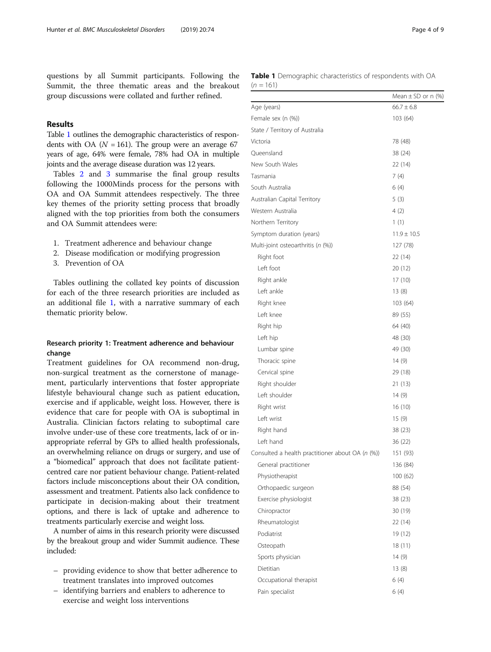questions by all Summit participants. Following the Summit, the three thematic areas and the breakout group discussions were collated and further refined.

# Results

Table 1 outlines the demographic characteristics of respondents with OA ( $N = 161$ ). The group were an average 67 years of age, 64% were female, 78% had OA in multiple joints and the average disease duration was 12 years.

Tables [2](#page-4-0) and [3](#page-5-0) summarise the final group results following the 1000Minds process for the persons with OA and OA Summit attendees respectively. The three key themes of the priority setting process that broadly aligned with the top priorities from both the consumers and OA Summit attendees were:

- 1. Treatment adherence and behaviour change
- 2. Disease modification or modifying progression
- 3. Prevention of OA

Tables outlining the collated key points of discussion for each of the three research priorities are included as an additional file [1](#page-7-0), with a narrative summary of each thematic priority below.

# Research priority 1: Treatment adherence and behaviour change

Treatment guidelines for OA recommend non-drug, non-surgical treatment as the cornerstone of management, particularly interventions that foster appropriate lifestyle behavioural change such as patient education, exercise and if applicable, weight loss. However, there is evidence that care for people with OA is suboptimal in Australia. Clinician factors relating to suboptimal care involve under-use of these core treatments, lack of or inappropriate referral by GPs to allied health professionals, an overwhelming reliance on drugs or surgery, and use of a "biomedical" approach that does not facilitate patientcentred care nor patient behaviour change. Patient-related factors include misconceptions about their OA condition, assessment and treatment. Patients also lack confidence to participate in decision-making about their treatment options, and there is lack of uptake and adherence to treatments particularly exercise and weight loss.

A number of aims in this research priority were discussed by the breakout group and wider Summit audience. These included:

- providing evidence to show that better adherence to treatment translates into improved outcomes
- identifying barriers and enablers to adherence to exercise and weight loss interventions

|             | <b>Table 1</b> Demographic characteristics of respondents with OA |  |
|-------------|-------------------------------------------------------------------|--|
| $(n = 161)$ |                                                                   |  |

|                                                  | Mean $\pm$ SD or n (%) |  |  |
|--------------------------------------------------|------------------------|--|--|
| Age (years)                                      | $66.7 \pm 6.8$         |  |  |
| Female sex (n (%))                               | 103 (64)               |  |  |
| State / Territory of Australia                   |                        |  |  |
| Victoria                                         | 78 (48)                |  |  |
| Queensland                                       | 38 (24)                |  |  |
| New South Wales                                  | 22 (14)                |  |  |
| Tasmania                                         | 7 (4)                  |  |  |
| South Australia                                  | 6(4)                   |  |  |
| Australian Capital Territory                     | 5(3)                   |  |  |
| Western Australia                                | 4(2)                   |  |  |
| Northern Territory                               | 1(1)                   |  |  |
| Symptom duration (years)                         | $11.9 \pm 10.5$        |  |  |
| Multi-joint osteoarthritis (n (%))               | 127 (78)               |  |  |
| Right foot                                       | 22 (14)                |  |  |
| Left foot                                        | 20 (12)                |  |  |
| Right ankle                                      | 17 (10)                |  |  |
| Left ankle                                       | 13 (8)                 |  |  |
| Right knee                                       | 103 (64)               |  |  |
| Left knee                                        | 89 (55)                |  |  |
| Right hip                                        | 64 (40)                |  |  |
| Left hip                                         | 48 (30)                |  |  |
| Lumbar spine                                     | 49 (30)                |  |  |
| Thoracic spine                                   | 14 (9)                 |  |  |
| Cervical spine                                   | 29 (18)                |  |  |
| Right shoulder                                   | 21 (13)                |  |  |
| Left shoulder                                    | 14 (9)                 |  |  |
| Right wrist                                      | 16 (10)                |  |  |
| Left wrist                                       | 15 (9)                 |  |  |
| Right hand                                       | 38 (23)                |  |  |
| Left hand                                        | 36 (22)                |  |  |
| Consulted a health practitioner about OA (n (%)) | 151 (93)               |  |  |
| General practitioner                             | 136 (84)               |  |  |
| Physiotherapist                                  | 100 (62)               |  |  |
| Orthopaedic surgeon                              | 88 (54)                |  |  |
| Exercise physiologist                            | 38 (23)                |  |  |
| Chiropractor                                     | 30 (19)                |  |  |
| Rheumatologist                                   | 22 (14)                |  |  |
| Podiatrist                                       | 19 (12)                |  |  |
| Osteopath                                        | 18 (11)                |  |  |
| Sports physician                                 | 14 (9)                 |  |  |
| Dietitian                                        | 13 (8)                 |  |  |
| Occupational therapist                           | 6(4)                   |  |  |
| Pain specialist                                  | 6(4)                   |  |  |
|                                                  |                        |  |  |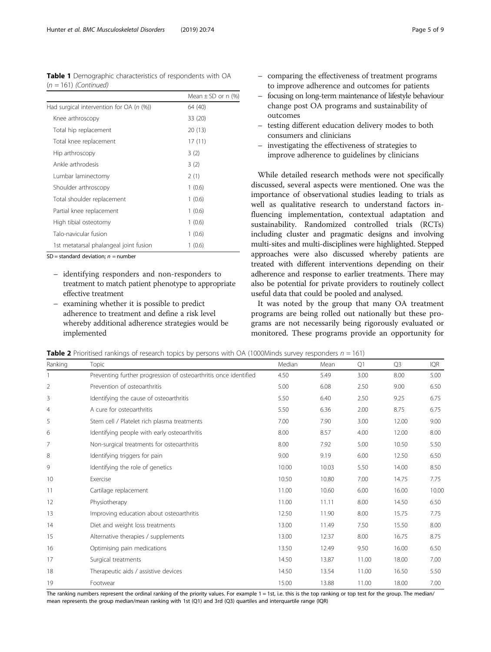$SD = standard deviation; n = number$ 

- identifying responders and non-responders to treatment to match patient phenotype to appropriate effective treatment
- examining whether it is possible to predict adherence to treatment and define a risk level whereby additional adherence strategies would be implemented
- comparing the effectiveness of treatment programs to improve adherence and outcomes for patients
- focusing on long-term maintenance of lifestyle behaviour change post OA programs and sustainability of outcomes
- testing different education delivery modes to both consumers and clinicians
- investigating the effectiveness of strategies to improve adherence to guidelines by clinicians

While detailed research methods were not specifically discussed, several aspects were mentioned. One was the importance of observational studies leading to trials as well as qualitative research to understand factors influencing implementation, contextual adaptation and sustainability. Randomized controlled trials (RCTs) including cluster and pragmatic designs and involving multi-sites and multi-disciplines were highlighted. Stepped approaches were also discussed whereby patients are treated with different interventions depending on their adherence and response to earlier treatments. There may also be potential for private providers to routinely collect useful data that could be pooled and analysed.

It was noted by the group that many OA treatment programs are being rolled out nationally but these programs are not necessarily being rigorously evaluated or monitored. These programs provide an opportunity for

**Table 2** Prioritised rankings of research topics by persons with OA (1000Minds survey responders  $n = 161$ )

| The ranking numbers represent the ordinal ranking of the priority values. For example 1 = 1st, i.e. this is the top ranking or top test for the group. The median/ |
|--------------------------------------------------------------------------------------------------------------------------------------------------------------------|
| mean represents the group median/mean ranking with 1st (Q1) and 3rd (Q3) quartiles and interquartile range (IQR)                                                   |

<span id="page-4-0"></span>

| Hunter et al. BMC Musculoskeletal Disorders | (2019) 20:74 | Page 5 of 9 |
|---------------------------------------------|--------------|-------------|
|                                             |              |             |

| $(n = 161)$ (Continued)                         |                        |  |  |  |
|-------------------------------------------------|------------------------|--|--|--|
|                                                 | Mean $\pm$ SD or n (%) |  |  |  |
| Had surgical intervention for $OA(n \cdot 96))$ | 64 (40)                |  |  |  |
| Knee arthroscopy                                | 33 (20)                |  |  |  |
|                                                 |                        |  |  |  |

Table 1 Demographic characteristics of respondents with OA

| Had surgical intervention for OA (1) (%)) |                                        | 04 (4V) |
|-------------------------------------------|----------------------------------------|---------|
| Knee arthroscopy                          |                                        | 33 (20) |
| Total hip replacement                     |                                        | 20(13)  |
| Total knee replacement                    |                                        | 17(11)  |
| Hip arthroscopy                           |                                        | 3(2)    |
| Ankle arthrodesis                         |                                        | 3(2)    |
| Lumbar laminectomy                        |                                        | 2(1)    |
| Shoulder arthroscopy                      |                                        | 1(0.6)  |
|                                           | Total shoulder replacement             | 1(0.6)  |
| Partial knee replacement                  |                                        | 1(0.6)  |
| High tibial osteotomy                     |                                        | 1(0.6)  |
| Talo-navicular fusion                     |                                        | 1(0.6)  |
|                                           | 1st metatarsal phalangeal joint fusion | 1 (0.6) |
|                                           |                                        |         |

| Ranking | Topic                                                            | Median | Mean  | Q1    | Q <sub>3</sub> | IQR   |
|---------|------------------------------------------------------------------|--------|-------|-------|----------------|-------|
|         | Preventing further progression of osteoarthritis once identified | 4.50   | 5.49  | 3.00  | 8.00           | 5.00  |
| 2       | Prevention of osteoarthritis                                     | 5.00   | 6.08  | 2.50  | 9.00           | 6.50  |
| 3       | Identifying the cause of osteoarthritis                          | 5.50   | 6.40  | 2.50  | 9.25           | 6.75  |
| 4       | A cure for osteoarthritis                                        | 5.50   | 6.36  | 2.00  | 8.75           | 6.75  |
| 5       | Stem cell / Platelet rich plasma treatments                      | 7.00   | 7.90  | 3.00  | 12.00          | 9.00  |
| 6       | Identifying people with early osteoarthritis                     | 8.00   | 8.57  | 4.00  | 12.00          | 8.00  |
| 7       | Non-surgical treatments for osteoarthritis                       | 8.00   | 7.92  | 5.00  | 10.50          | 5.50  |
| 8       | Identifying triggers for pain                                    | 9.00   | 9.19  | 6.00  | 12.50          | 6.50  |
| 9       | Identifying the role of genetics                                 | 10.00  | 10.03 | 5.50  | 14.00          | 8.50  |
| 10      | Exercise                                                         | 10.50  | 10.80 | 7.00  | 14.75          | 7.75  |
| 11      | Cartilage replacement                                            | 11.00  | 10.60 | 6.00  | 16.00          | 10.00 |
| 12      | Physiotherapy                                                    | 11.00  | 11.11 | 8.00  | 14.50          | 6.50  |
| 13      | Improving education about osteoarthritis                         | 12.50  | 11.90 | 8.00  | 15.75          | 7.75  |
| 14      | Diet and weight loss treatments                                  | 13.00  | 11.49 | 7.50  | 15.50          | 8.00  |
| 15      | Alternative therapies / supplements                              | 13.00  | 12.37 | 8.00  | 16.75          | 8.75  |
| 16      | Optimising pain medications                                      | 13.50  | 12.49 | 9.50  | 16.00          | 6.50  |
| 17      | Surgical treatments                                              | 14.50  | 13.87 | 11.00 | 18.00          | 7.00  |
| 18      | Therapeutic aids / assistive devices                             | 14.50  | 13.54 | 11.00 | 16.50          | 5.50  |
| 19      | Footwear                                                         | 15.00  | 13.88 | 11.00 | 18.00          | 7.00  |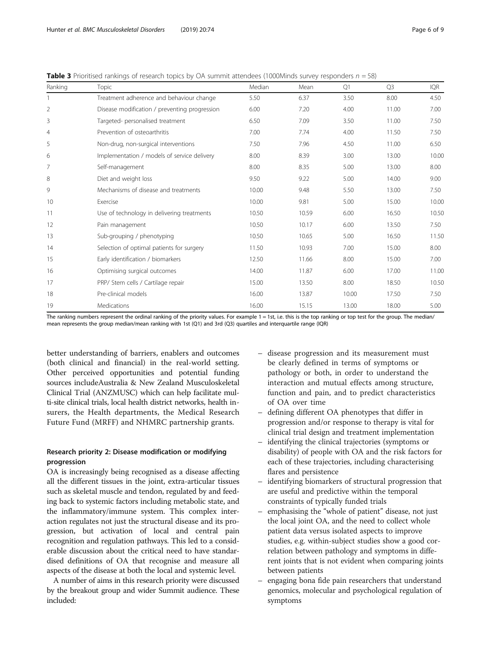<span id="page-5-0"></span>**Table 3** Prioritised rankings of research topics by OA summit attendees (1000Minds survey responders  $n = 58$ )

| Ranking        | Topic                                         | Median | Mean  | Q1    | Q <sub>3</sub> | <b>IQR</b> |
|----------------|-----------------------------------------------|--------|-------|-------|----------------|------------|
|                | Treatment adherence and behaviour change      | 5.50   | 6.37  | 3.50  | 8.00           | 4.50       |
| $\overline{2}$ | Disease modification / preventing progression | 6.00   | 7.20  | 4.00  | 11.00          | 7.00       |
| 3              | Targeted- personalised treatment              | 6.50   | 7.09  | 3.50  | 11.00          | 7.50       |
| $\overline{4}$ | Prevention of osteoarthritis                  | 7.00   | 7.74  | 4.00  | 11.50          | 7.50       |
| 5              | Non-drug, non-surgical interventions          | 7.50   | 7.96  | 4.50  | 11.00          | 6.50       |
| 6              | Implementation / models of service delivery   | 8.00   | 8.39  | 3.00  | 13.00          | 10.00      |
| 7              | Self-management                               | 8.00   | 8.35  | 5.00  | 13.00          | 8.00       |
| 8              | Diet and weight loss                          | 9.50   | 9.22  | 5.00  | 14.00          | 9.00       |
| 9              | Mechanisms of disease and treatments          | 10.00  | 9.48  | 5.50  | 13.00          | 7.50       |
| 10             | Exercise                                      | 10.00  | 9.81  | 5.00  | 15.00          | 10.00      |
| 11             | Use of technology in delivering treatments    | 10.50  | 10.59 | 6.00  | 16.50          | 10.50      |
| 12             | Pain management                               | 10.50  | 10.17 | 6.00  | 13.50          | 7.50       |
| 13             | Sub-grouping / phenotyping                    | 10.50  | 10.65 | 5.00  | 16.50          | 11.50      |
| 14             | Selection of optimal patients for surgery     | 11.50  | 10.93 | 7.00  | 15.00          | 8.00       |
| 15             | Early identification / biomarkers             | 12.50  | 11.66 | 8.00  | 15.00          | 7.00       |
| 16             | Optimising surgical outcomes                  | 14.00  | 11.87 | 6.00  | 17.00          | 11.00      |
| 17             | PRP/ Stem cells / Cartilage repair            | 15.00  | 13.50 | 8.00  | 18.50          | 10.50      |
| 18             | Pre-clinical models                           | 16.00  | 13.87 | 10.00 | 17.50          | 7.50       |
| 19             | Medications                                   | 16.00  | 15.15 | 13.00 | 18.00          | 5.00       |

The ranking numbers represent the ordinal ranking of the priority values. For example 1 = 1st, i.e. this is the top ranking or top test for the group. The median/ mean represents the group median/mean ranking with 1st (Q1) and 3rd (Q3) quartiles and interquartile range (IQR)

better understanding of barriers, enablers and outcomes (both clinical and financial) in the real-world setting. Other perceived opportunities and potential funding sources includeAustralia & New Zealand Musculoskeletal Clinical Trial (ANZMUSC) which can help facilitate multi-site clinical trials, local health district networks, health insurers, the Health departments, the Medical Research Future Fund (MRFF) and NHMRC partnership grants.

# Research priority 2: Disease modification or modifying progression

OA is increasingly being recognised as a disease affecting all the different tissues in the joint, extra-articular tissues such as skeletal muscle and tendon, regulated by and feeding back to systemic factors including metabolic state, and the inflammatory/immune system. This complex interaction regulates not just the structural disease and its progression, but activation of local and central pain recognition and regulation pathways. This led to a considerable discussion about the critical need to have standardised definitions of OA that recognise and measure all aspects of the disease at both the local and systemic level.

A number of aims in this research priority were discussed by the breakout group and wider Summit audience. These included:

- disease progression and its measurement must be clearly defined in terms of symptoms or pathology or both, in order to understand the interaction and mutual effects among structure, function and pain, and to predict characteristics of OA over time
- defining different OA phenotypes that differ in progression and/or response to therapy is vital for clinical trial design and treatment implementation
- identifying the clinical trajectories (symptoms or disability) of people with OA and the risk factors for each of these trajectories, including characterising flares and persistence
- identifying biomarkers of structural progression that are useful and predictive within the temporal constraints of typically funded trials
- emphasising the "whole of patient" disease, not just the local joint OA, and the need to collect whole patient data versus isolated aspects to improve studies, e.g. within-subject studies show a good correlation between pathology and symptoms in different joints that is not evident when comparing joints between patients
- engaging bona fide pain researchers that understand genomics, molecular and psychological regulation of symptoms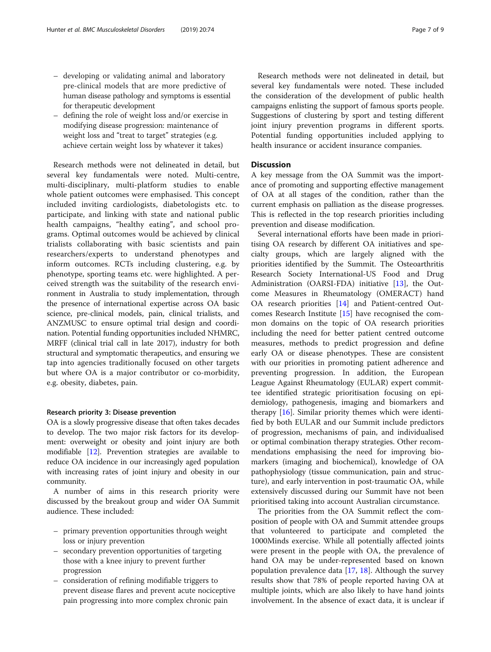- developing or validating animal and laboratory pre-clinical models that are more predictive of human disease pathology and symptoms is essential for therapeutic development
- defining the role of weight loss and/or exercise in modifying disease progression: maintenance of weight loss and "treat to target" strategies (e.g. achieve certain weight loss by whatever it takes)

Research methods were not delineated in detail, but several key fundamentals were noted. Multi-centre, multi-disciplinary, multi-platform studies to enable whole patient outcomes were emphasised. This concept included inviting cardiologists, diabetologists etc. to participate, and linking with state and national public health campaigns, "healthy eating", and school programs. Optimal outcomes would be achieved by clinical trialists collaborating with basic scientists and pain researchers/experts to understand phenotypes and inform outcomes. RCTs including clustering, e.g. by phenotype, sporting teams etc. were highlighted. A perceived strength was the suitability of the research environment in Australia to study implementation, through the presence of international expertise across OA basic science, pre-clinical models, pain, clinical trialists, and ANZMUSC to ensure optimal trial design and coordination. Potential funding opportunities included NHMRC, MRFF (clinical trial call in late 2017), industry for both structural and symptomatic therapeutics, and ensuring we tap into agencies traditionally focused on other targets but where OA is a major contributor or co-morbidity, e.g. obesity, diabetes, pain.

## Research priority 3: Disease prevention

OA is a slowly progressive disease that often takes decades to develop. The two major risk factors for its development: overweight or obesity and joint injury are both modifiable [\[12\]](#page-8-0). Prevention strategies are available to reduce OA incidence in our increasingly aged population with increasing rates of joint injury and obesity in our community.

A number of aims in this research priority were discussed by the breakout group and wider OA Summit audience. These included:

- primary prevention opportunities through weight loss or injury prevention
- secondary prevention opportunities of targeting those with a knee injury to prevent further progression
- consideration of refining modifiable triggers to prevent disease flares and prevent acute nociceptive pain progressing into more complex chronic pain

Research methods were not delineated in detail, but several key fundamentals were noted. These included the consideration of the development of public health campaigns enlisting the support of famous sports people. Suggestions of clustering by sport and testing different joint injury prevention programs in different sports. Potential funding opportunities included applying to health insurance or accident insurance companies.

## **Discussion**

A key message from the OA Summit was the importance of promoting and supporting effective management of OA at all stages of the condition, rather than the current emphasis on palliation as the disease progresses. This is reflected in the top research priorities including prevention and disease modification.

Several international efforts have been made in prioritising OA research by different OA initiatives and specialty groups, which are largely aligned with the priorities identified by the Summit. The Osteoarthritis Research Society International-US Food and Drug Administration (OARSI-FDA) initiative [[13\]](#page-8-0), the Outcome Measures in Rheumatology (OMERACT) hand OA research priorities [[14\]](#page-8-0) and Patient-centred Outcomes Research Institute [[15\]](#page-8-0) have recognised the common domains on the topic of OA research priorities including the need for better patient centred outcome measures, methods to predict progression and define early OA or disease phenotypes. These are consistent with our priorities in promoting patient adherence and preventing progression. In addition, the European League Against Rheumatology (EULAR) expert committee identified strategic prioritisation focusing on epidemiology, pathogenesis, imaging and biomarkers and therapy [\[16\]](#page-8-0). Similar priority themes which were identified by both EULAR and our Summit include predictors of progression, mechanisms of pain, and individualised or optimal combination therapy strategies. Other recommendations emphasising the need for improving biomarkers (imaging and biochemical), knowledge of OA pathophysiology (tissue communication, pain and structure), and early intervention in post-traumatic OA, while extensively discussed during our Summit have not been prioritised taking into account Australian circumstance.

The priorities from the OA Summit reflect the composition of people with OA and Summit attendee groups that volunteered to participate and completed the 1000Minds exercise. While all potentially affected joints were present in the people with OA, the prevalence of hand OA may be under-represented based on known population prevalence data [[17](#page-8-0), [18](#page-8-0)]. Although the survey results show that 78% of people reported having OA at multiple joints, which are also likely to have hand joints involvement. In the absence of exact data, it is unclear if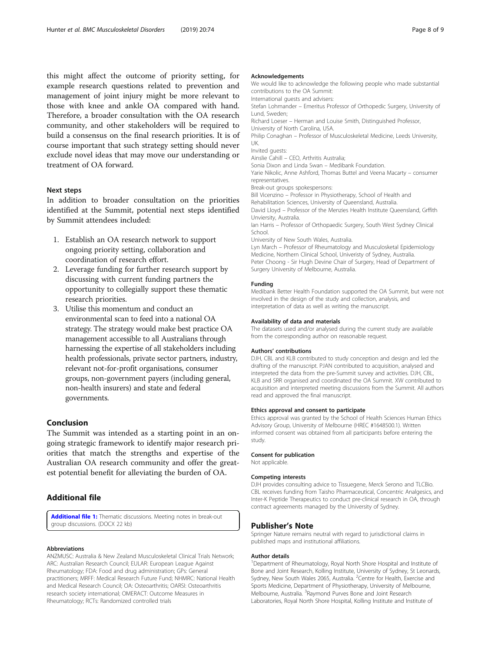<span id="page-7-0"></span>this might affect the outcome of priority setting, for example research questions related to prevention and management of joint injury might be more relevant to those with knee and ankle OA compared with hand. Therefore, a broader consultation with the OA research community, and other stakeholders will be required to build a consensus on the final research priorities. It is of course important that such strategy setting should never exclude novel ideas that may move our understanding or treatment of OA forward.

## Next steps

In addition to broader consultation on the priorities identified at the Summit, potential next steps identified by Summit attendees included:

- 1. Establish an OA research network to support ongoing priority setting, collaboration and coordination of research effort.
- 2. Leverage funding for further research support by discussing with current funding partners the opportunity to collegially support these thematic research priorities.
- 3. Utilise this momentum and conduct an environmental scan to feed into a national OA strategy. The strategy would make best practice OA management accessible to all Australians through harnessing the expertise of all stakeholders including health professionals, private sector partners, industry, relevant not-for-profit organisations, consumer groups, non-government payers (including general, non-health insurers) and state and federal governments.

# Conclusion

The Summit was intended as a starting point in an ongoing strategic framework to identify major research priorities that match the strengths and expertise of the Australian OA research community and offer the greatest potential benefit for alleviating the burden of OA.

# Additional file

[Additional file 1:](https://doi.org/10.1186/s12891-019-2455-x) Thematic discussions. Meeting notes in break-out group discussions. (DOCX 22 kb)

#### Abbreviations

ANZMUSC: Australia & New Zealand Musculoskeletal Clinical Trials Network; ARC: Australian Research Council; EULAR: European League Against Rheumatology; FDA: Food and drug administration; GPs: General practitioners; MRFF: Medical Research Future Fund; NHMRC: National Health and Medical Research Council; OA: Osteoarthritis; OARSI: Osteoarthritis research society international; OMERACT: Outcome Measures in Rheumatology; RCTs: Randomized controlled trials

#### Acknowledgements

We would like to acknowledge the following people who made substantial contributions to the OA Summit:

International guests and advisers:

Stefan Lohmander – Emeritus Professor of Orthopedic Surgery, University of Lund, Sweden;

Richard Loeser – Herman and Louise Smith, Distinguished Professor,

University of North Carolina, USA.

Philip Conaghan – Professor of Musculoskeletal Medicine, Leeds University, UK.

Invited guests:

Ainslie Cahill – CEO, Arthritis Australia;

Sonia Dixon and Linda Swan – Medibank Foundation.

Yarie Nikolic, Anne Ashford, Thomas Buttel and Veena Macarty – consumer representatives.

Break-out groups spokespersons:

Bill Vicenzino – Professor in Physiotherapy, School of Health and

Rehabilitation Sciences, University of Queensland, Australia.

David Lloyd – Professor of the Menzies Health Institute Queensland, Grffith Unviersity, Australia.

Ian Harris – Professor of Orthopaedic Surgery, South West Sydney Clinical School.

University of New South Wales, Australia.

Lyn March – Professor of Rheumatology and Musculosketal Epidemiology Medicine, Northern Clinical School, Univeristy of Sydney, Australia. Peter Choong - Sir Hugh Devine Chair of Surgery, Head of Department of Surgery University of Melbourne, Australia.

#### Funding

Medibank Better Health Foundation supported the OA Summit, but were not involved in the design of the study and collection, analysis, and interpretation of data as well as writing the manuscript.

#### Availability of data and materials

The datasets used and/or analysed during the current study are available from the corresponding author on reasonable request.

#### Authors' contributions

DJH, CBL and KLB contributed to study conception and design and led the drafting of the manuscript. PJAN contributed to acquisition, analysed and interpreted the data from the pre-Summit survey and activities. DJH, CBL, KLB and SRR organised and coordinated the OA Summit. XW contributed to acquisition and interpreted meeting discussions from the Summit. All authors read and approved the final manuscript.

#### Ethics approval and consent to participate

Ethics approval was granted by the School of Health Sciences Human Ethics Advisory Group, University of Melbourne (HREC #1648500.1). Written informed consent was obtained from all participants before entering the study.

## Consent for publication

Not applicable.

#### Competing interests

DJH provides consulting advice to Tissuegene, Merck Serono and TLCBio. CBL receives funding from Taisho Pharmaceutical, Concentric Analgesics, and Inter-K Peptide Therapeutics to conduct pre-clinical research in OA, through contract agreements managed by the University of Sydney.

## Publisher's Note

Springer Nature remains neutral with regard to jurisdictional claims in published maps and institutional affiliations.

## Author details

<sup>1</sup>Department of Rheumatology, Royal North Shore Hospital and Institute of Bone and Joint Research, Kolling Institute, University of Sydney, St Leonards, Sydney, New South Wales 2065, Australia. <sup>2</sup>Centre for Health, Exercise and Sports Medicine, Department of Physiotherapy, University of Melbourne, Melbourne, Australia. <sup>3</sup> Raymond Purves Bone and Joint Research Laboratories, Royal North Shore Hospital, Kolling Institute and Institute of